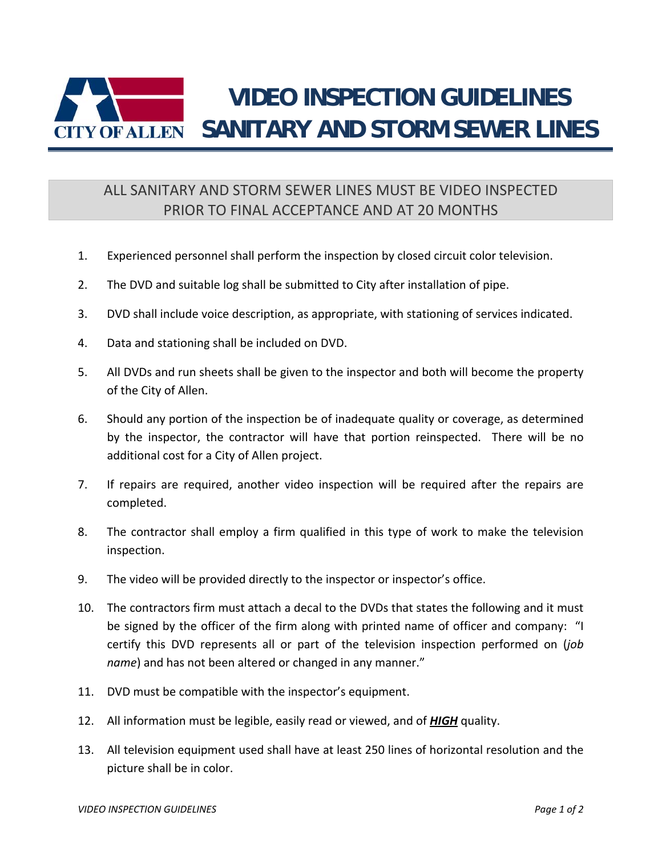

## ALL SANITARY AND STORM SEWER LINES MUST BE VIDEO INSPECTED PRIOR TO FINAL ACCEPTANCE AND AT 20 MONTHS

- 1. Experienced personnel shall perform the inspection by closed circuit color television.
- 2. The DVD and suitable log shall be submitted to City after installation of pipe.
- 3. DVD shall include voice description, as appropriate, with stationing of services indicated.
- 4. Data and stationing shall be included on DVD.
- 5. All DVDs and run sheets shall be given to the inspector and both will become the property of the City of Allen.
- 6. Should any portion of the inspection be of inadequate quality or coverage, as determined by the inspector, the contractor will have that portion reinspected. There will be no additional cost for a City of Allen project.
- 7. If repairs are required, another video inspection will be required after the repairs are completed.
- 8. The contractor shall employ a firm qualified in this type of work to make the television inspection.
- 9. The video will be provided directly to the inspector or inspector's office.
- 10. The contractors firm must attach a decal to the DVDs that states the following and it must be signed by the officer of the firm along with printed name of officer and company: "I certify this DVD represents all or part of the television inspection performed on (*job name*) and has not been altered or changed in any manner."
- 11. DVD must be compatible with the inspector's equipment.
- 12. All information must be legible, easily read or viewed, and of *HIGH* quality.
- 13. All television equipment used shall have at least 250 lines of horizontal resolution and the picture shall be in color.